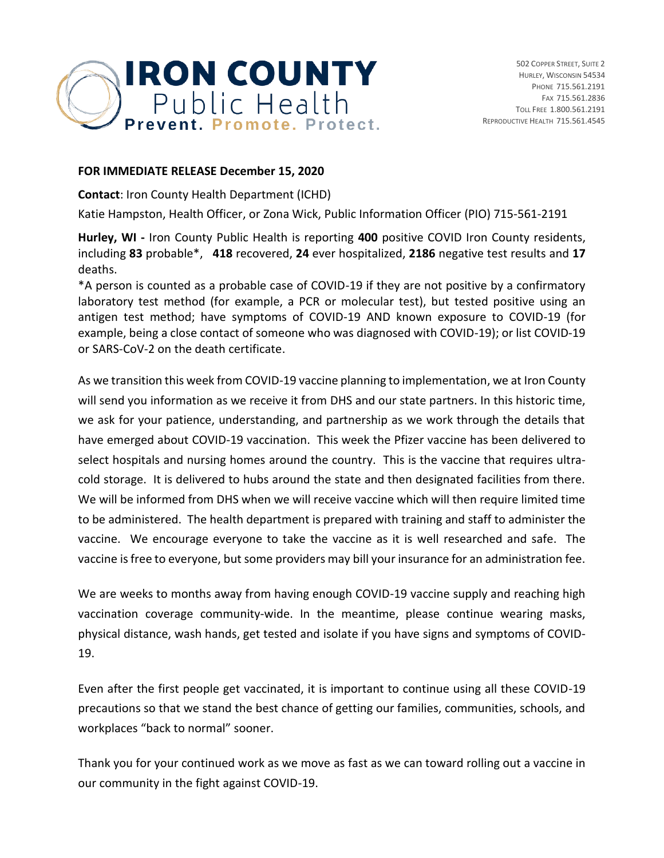

## **FOR IMMEDIATE RELEASE December 15, 2020**

**Contact**: Iron County Health Department (ICHD)

Katie Hampston, Health Officer, or Zona Wick, Public Information Officer (PIO) 715-561-2191

**Hurley, WI -** Iron County Public Health is reporting **400** positive COVID Iron County residents, including **83** probable\*, **418** recovered, **24** ever hospitalized, **2186** negative test results and **17** deaths.

\*A person is counted as a probable case of COVID-19 if they are not positive by a confirmatory laboratory test method (for example, a PCR or molecular test), but tested positive using an antigen test method; have symptoms of COVID-19 AND known exposure to COVID-19 (for example, being a close contact of someone who was diagnosed with COVID-19); or list COVID-19 or SARS-CoV-2 on the death certificate.

As we transition this week from COVID-19 vaccine planning to implementation, we at Iron County will send you information as we receive it from DHS and our state partners. In this historic time, we ask for your patience, understanding, and partnership as we work through the details that have emerged about COVID-19 vaccination. This week the Pfizer vaccine has been delivered to select hospitals and nursing homes around the country. This is the vaccine that requires ultracold storage. It is delivered to hubs around the state and then designated facilities from there. We will be informed from DHS when we will receive vaccine which will then require limited time to be administered. The health department is prepared with training and staff to administer the vaccine. We encourage everyone to take the vaccine as it is well researched and safe. The vaccine is free to everyone, but some providers may bill your insurance for an administration fee.

We are weeks to months away from having enough COVID-19 vaccine supply and reaching high vaccination coverage community-wide. In the meantime, please continue wearing masks, physical distance, wash hands, get tested and isolate if you have signs and symptoms of COVID-19.

Even after the first people get vaccinated, it is important to continue using all these COVID-19 precautions so that we stand the best chance of getting our families, communities, schools, and workplaces "back to normal" sooner.

Thank you for your continued work as we move as fast as we can toward rolling out a vaccine in our community in the fight against COVID-19.